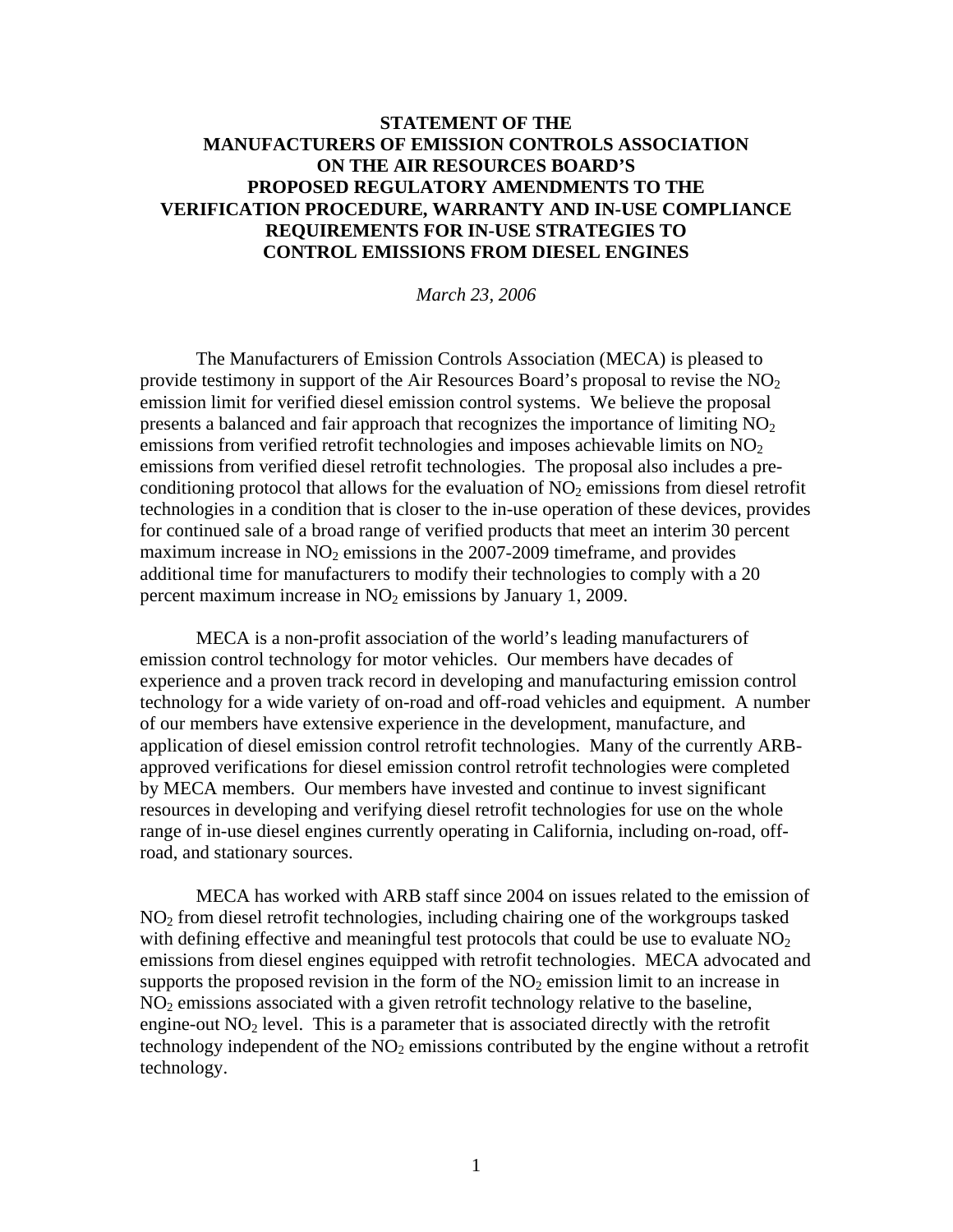## **STATEMENT OF THE MANUFACTURERS OF EMISSION CONTROLS ASSOCIATION ON THE AIR RESOURCES BOARD'S PROPOSED REGULATORY AMENDMENTS TO THE VERIFICATION PROCEDURE, WARRANTY AND IN-USE COMPLIANCE REQUIREMENTS FOR IN-USE STRATEGIES TO CONTROL EMISSIONS FROM DIESEL ENGINES**

*March 23, 2006* 

 The Manufacturers of Emission Controls Association (MECA) is pleased to provide testimony in support of the Air Resources Board's proposal to revise the  $NO<sub>2</sub>$ emission limit for verified diesel emission control systems. We believe the proposal presents a balanced and fair approach that recognizes the importance of limiting  $NO<sub>2</sub>$ emissions from verified retrofit technologies and imposes achievable limits on  $NO<sub>2</sub>$ emissions from verified diesel retrofit technologies. The proposal also includes a preconditioning protocol that allows for the evaluation of  $NO<sub>2</sub>$  emissions from diesel retrofit technologies in a condition that is closer to the in-use operation of these devices, provides for continued sale of a broad range of verified products that meet an interim 30 percent maximum increase in  $NO<sub>2</sub>$  emissions in the 2007-2009 time frame, and provides additional time for manufacturers to modify their technologies to comply with a 20 percent maximum increase in  $NO<sub>2</sub>$  emissions by January 1, 2009.

MECA is a non-profit association of the world's leading manufacturers of emission control technology for motor vehicles. Our members have decades of experience and a proven track record in developing and manufacturing emission control technology for a wide variety of on-road and off-road vehicles and equipment. A number of our members have extensive experience in the development, manufacture, and application of diesel emission control retrofit technologies. Many of the currently ARBapproved verifications for diesel emission control retrofit technologies were completed by MECA members. Our members have invested and continue to invest significant resources in developing and verifying diesel retrofit technologies for use on the whole range of in-use diesel engines currently operating in California, including on-road, offroad, and stationary sources.

MECA has worked with ARB staff since 2004 on issues related to the emission of  $NO<sub>2</sub>$  from diesel retrofit technologies, including chairing one of the workgroups tasked with defining effective and meaningful test protocols that could be use to evaluate  $NO<sub>2</sub>$ emissions from diesel engines equipped with retrofit technologies. MECA advocated and supports the proposed revision in the form of the  $NO<sub>2</sub>$  emission limit to an increase in  $NO<sub>2</sub>$  emissions associated with a given retrofit technology relative to the baseline, engine-out  $NO<sub>2</sub>$  level. This is a parameter that is associated directly with the retrofit technology independent of the  $NO<sub>2</sub>$  emissions contributed by the engine without a retrofit technology.